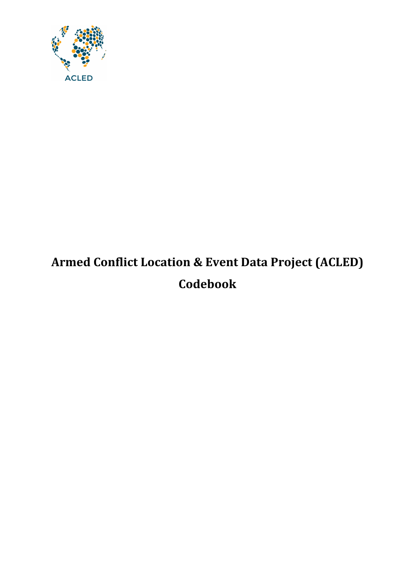

# **Armed Conflict Location & Event Data Project (ACLED) Codebook**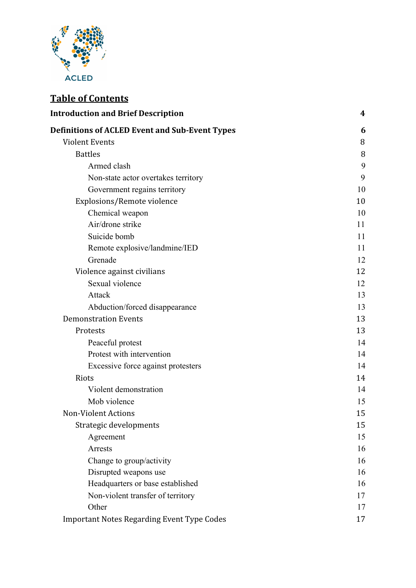

# **Table of Contents**

| <b>Introduction and Brief Description</b>             | 4  |
|-------------------------------------------------------|----|
| <b>Definitions of ACLED Event and Sub-Event Types</b> | 6  |
| <b>Violent Events</b>                                 | 8  |
| <b>Battles</b>                                        | 8  |
| Armed clash                                           | 9  |
| Non-state actor overtakes territory                   | 9  |
| Government regains territory                          | 10 |
| Explosions/Remote violence                            | 10 |
| Chemical weapon                                       | 10 |
| Air/drone strike                                      | 11 |
| Suicide bomb                                          | 11 |
| Remote explosive/landmine/IED                         | 11 |
| Grenade                                               | 12 |
| Violence against civilians                            | 12 |
| Sexual violence                                       | 12 |
| Attack                                                | 13 |
| Abduction/forced disappearance                        | 13 |
| <b>Demonstration Events</b>                           | 13 |
| Protests                                              | 13 |
| Peaceful protest                                      | 14 |
| Protest with intervention                             | 14 |
| Excessive force against protesters                    | 14 |
| Riots                                                 | 14 |
| Violent demonstration                                 | 14 |
| Mob violence                                          | 15 |
| <b>Non-Violent Actions</b>                            | 15 |
| Strategic developments                                | 15 |
| Agreement                                             | 15 |
| Arrests                                               | 16 |
| Change to group/activity                              | 16 |
| Disrupted weapons use                                 | 16 |
| Headquarters or base established                      | 16 |
| Non-violent transfer of territory                     | 17 |
| Other                                                 | 17 |
| <b>Important Notes Regarding Event Type Codes</b>     | 17 |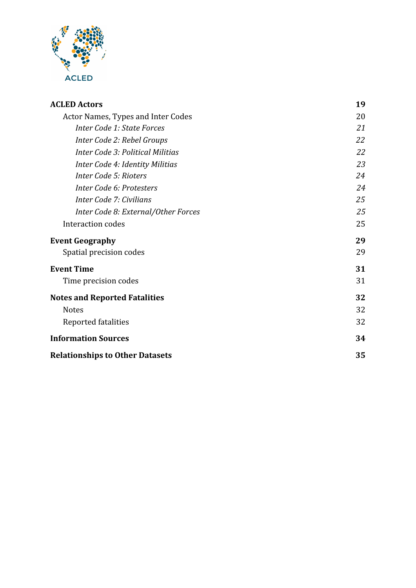

| <b>ACLED Actors</b>                    | 19 |
|----------------------------------------|----|
| Actor Names, Types and Inter Codes     | 20 |
| Inter Code 1: State Forces             | 21 |
| Inter Code 2: Rebel Groups             | 22 |
| Inter Code 3: Political Militias       | 22 |
| Inter Code 4: Identity Militias        | 23 |
| Inter Code 5: Rioters                  | 24 |
| Inter Code 6: Protesters               | 24 |
| Inter Code 7: Civilians                | 25 |
| Inter Code 8: External/Other Forces    | 25 |
| Interaction codes                      | 25 |
| <b>Event Geography</b>                 | 29 |
| Spatial precision codes                | 29 |
| <b>Event Time</b>                      | 31 |
| Time precision codes                   | 31 |
| <b>Notes and Reported Fatalities</b>   | 32 |
| <b>Notes</b>                           | 32 |
| Reported fatalities                    | 32 |
| <b>Information Sources</b>             | 34 |
| <b>Relationships to Other Datasets</b> | 35 |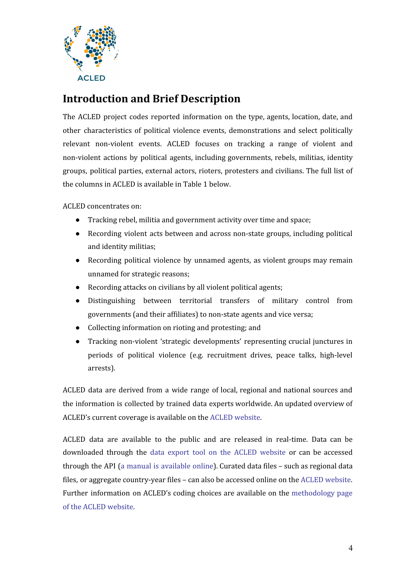

# <span id="page-3-0"></span>**Introduction and Brief Description**

The ACLED project codes reported information on the type, agents, location, date, and other characteristics of political violence events, demonstrations and select politically relevant non-violent events. ACLED focuses on tracking a range of violent and non-violent actions by political agents, including governments, rebels, militias, identity groups, political parties, external actors, rioters, protesters and civilians. The full list of the columns in ACLED is available in Table 1 below.

ACLED concentrates on:

- Tracking rebel, militia and government activity over time and space;
- Recording violent acts between and across non-state groups, including political and identity militias;
- Recording political violence by unnamed agents, as violent groups may remain unnamed for strategic reasons;
- Recording attacks on civilians by all violent political agents;
- Distinguishing between territorial transfers of military control from governments (and their affiliates) to non-state agents and vice versa;
- Collecting information on rioting and protesting; and
- Tracking non-violent 'strategic developments' representing crucial junctures in periods of political violence (e.g. recruitment drives, peace talks, high-level arrests).

ACLED data are derived from a wide range of local, regional and national sources and the information is collected by trained data experts worldwide. An updated overview of ACLED's current coverage is available on the ACLED [website.](https://www.acleddata.com/)

ACLED data are available to the public and are released in real-time. Data can be downloaded through the data export tool on the ACLED [website](http://www.acleddata.com/data) or can be accessed through the API (a manual is [available](https://www.acleddata.com/wp-content/uploads/dlm_uploads/2017/10/API-User-Guide-1-1.pdf) online). Curated data files – such as regional data files, or aggregate country-year files – can also be accessed online on the ACLED [website.](https://www.acleddata.com/curated-data-files/) Further information on ACLED's coding choices are available on the [methodology](https://www.acleddata.com/resources/methodology/) page of the ACLED [website.](https://www.acleddata.com/resources/methodology/)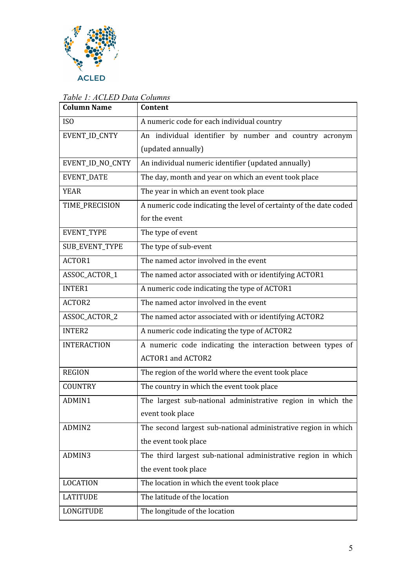

| <b>Column Name</b>    | Content                                                            |  |
|-----------------------|--------------------------------------------------------------------|--|
| ISO                   | A numeric code for each individual country                         |  |
| EVENT_ID_CNTY         | An individual identifier by number and country acronym             |  |
|                       | (updated annually)                                                 |  |
| EVENT_ID_NO_CNTY      | An individual numeric identifier (updated annually)                |  |
| <b>EVENT_DATE</b>     | The day, month and year on which an event took place               |  |
| <b>YEAR</b>           | The year in which an event took place                              |  |
| TIME_PRECISION        | A numeric code indicating the level of certainty of the date coded |  |
|                       | for the event                                                      |  |
| EVENT_TYPE            | The type of event                                                  |  |
| <b>SUB_EVENT_TYPE</b> | The type of sub-event                                              |  |
| ACTOR1                | The named actor involved in the event                              |  |
| ASSOC_ACTOR_1         | The named actor associated with or identifying ACTOR1              |  |
| <b>INTER1</b>         | A numeric code indicating the type of ACTOR1                       |  |
| ACTOR2                | The named actor involved in the event                              |  |
| ASSOC_ACTOR_2         | The named actor associated with or identifying ACTOR2              |  |
| <b>INTER2</b>         | A numeric code indicating the type of ACTOR2                       |  |
| <b>INTERACTION</b>    | A numeric code indicating the interaction between types of         |  |
|                       | <b>ACTOR1 and ACTOR2</b>                                           |  |
| <b>REGION</b>         | The region of the world where the event took place                 |  |
| <b>COUNTRY</b>        | The country in which the event took place                          |  |
| ADMIN1                | The largest sub-national administrative region in which the        |  |
|                       | event took place                                                   |  |
| ADMIN2                | The second largest sub-national administrative region in which     |  |
|                       | the event took place                                               |  |
| ADMIN3                | The third largest sub-national administrative region in which      |  |
|                       | the event took place                                               |  |
| <b>LOCATION</b>       | The location in which the event took place                         |  |
| <b>LATITUDE</b>       | The latitude of the location                                       |  |
| LONGITUDE             | The longitude of the location                                      |  |

### *Table 1: ACLED Data Columns*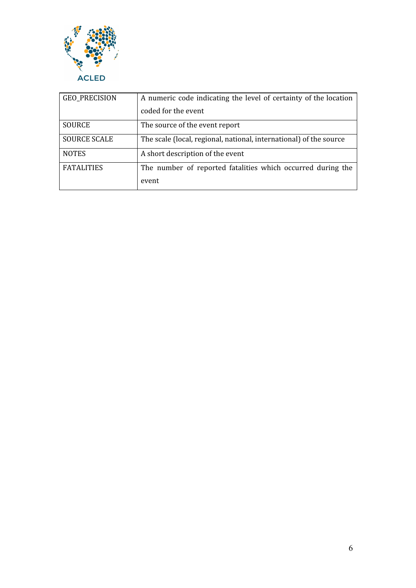

<span id="page-5-0"></span>

| <b>GEO_PRECISION</b> | A numeric code indicating the level of certainty of the location   |  |
|----------------------|--------------------------------------------------------------------|--|
|                      | coded for the event                                                |  |
| <b>SOURCE</b>        | The source of the event report                                     |  |
| <b>SOURCE SCALE</b>  | The scale (local, regional, national, international) of the source |  |
| <b>NOTES</b>         | A short description of the event                                   |  |
| <b>FATALITIES</b>    | The number of reported fatalities which occurred during the        |  |
|                      | event                                                              |  |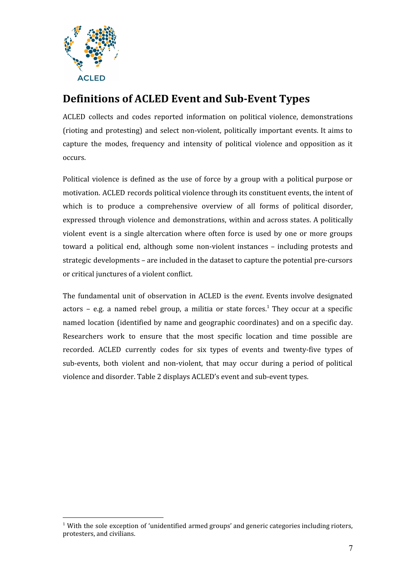

# **Definitions of ACLED Event and Sub-Event Types**

ACLED collects and codes reported information on political violence, demonstrations (rioting and protesting) and select non-violent, politically important events. It aims to capture the modes, frequency and intensity of political violence and opposition as it occurs.

Political violence is defined as the use of force by a group with a political purpose or motivation. ACLED records political violence through its constituent events, the intent of which is to produce a comprehensive overview of all forms of political disorder, expressed through violence and demonstrations, within and across states. A politically violent event is a single altercation where often force is used by one or more groups toward a political end, although some non-violent instances – including protests and strategic developments – are included in the dataset to capture the potential pre-cursors or critical junctures of a violent conflict.

The fundamental unit of observation in ACLED is the *event*. Events involve designated actors  $-$  e.g. a named rebel group, a militia or state forces.<sup>1</sup> They occur at a specific named location (identified by name and geographic coordinates) and on a specific day. Researchers work to ensure that the most specific location and time possible are recorded. ACLED currently codes for six types of events and twenty-five types of sub-events, both violent and non-violent, that may occur during a period of political violence and disorder. Table 2 displays ACLED's event and sub-event types.

 $1$  With the sole exception of 'unidentified armed groups' and generic categories including rioters, protesters, and civilians.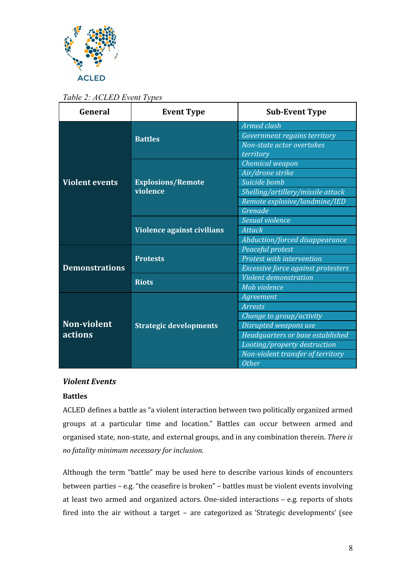

*Table 2: ACLED Event Types*

| General                              | <b>Event Type</b>                    | <b>Sub-Event Type</b>              |
|--------------------------------------|--------------------------------------|------------------------------------|
|                                      | <b>Battles</b>                       | <b>Armed clash</b>                 |
|                                      |                                      | Government regains territory       |
|                                      |                                      | Non-state actor overtakes          |
|                                      |                                      | territory                          |
|                                      | <b>Explosions/Remote</b><br>violence | Chemical weapon                    |
| <b>Violent events</b>                |                                      | Air/drone strike                   |
|                                      |                                      | Suicide bomb                       |
|                                      |                                      | Shelling/artillery/missile attack  |
|                                      |                                      | Remote explosive/landmine/IED      |
|                                      |                                      | Grenade                            |
|                                      | Violence against civilians           | Sexual violence                    |
|                                      |                                      | <b>Attack</b>                      |
|                                      |                                      | Abduction/forced disappearance     |
| <b>Demonstrations</b>                | <b>Protests</b>                      | Peaceful protest                   |
|                                      |                                      | Protest with intervention          |
|                                      |                                      | Excessive force against protesters |
|                                      | <b>Riots</b>                         | <b>Violent demonstration</b>       |
|                                      |                                      | Mob violence                       |
| <b>Non-violent</b><br><b>actions</b> | <b>Strategic developments</b>        | Agreement                          |
|                                      |                                      | Arrests                            |
|                                      |                                      | Change to group/activity           |
|                                      |                                      | Disrupted weapons use              |
|                                      |                                      | Headquarters or base established   |
|                                      |                                      | Looting/property destruction       |
|                                      |                                      | Non-violent transfer of territory  |
|                                      |                                      | <b>Other</b>                       |

#### <span id="page-7-0"></span>*Violent Events*

#### <span id="page-7-1"></span>**Battles**

ACLED defines a battle as "a violent interaction between two politically organized armed groups at a particular time and location." Battles can occur between armed and organised state, non-state, and external groups, and in any combination therein. *There is no fatality minimum necessary for inclusion.*

Although the term "battle" may be used here to describe various kinds of encounters between parties – e.g. "the ceasefire is broken" – battles must be violent events involving at least two armed and organized actors. One-sided interactions – e.g. reports of shots fired into the air without a target – are categorized as 'Strategic developments' (see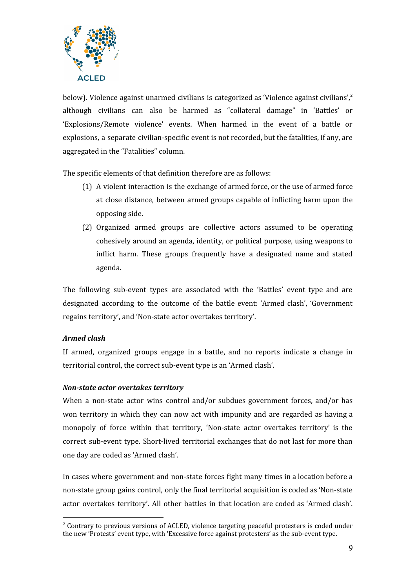

below). Violence against unarmed civilians is categorized as 'Violence against civilians',<sup>2</sup> although civilians can also be harmed as "collateral damage" in 'Battles' or 'Explosions/Remote violence' events. When harmed in the event of a battle or explosions, a separate civilian-specific event is not recorded, but the fatalities, if any, are aggregated in the "Fatalities" column.

The specific elements of that definition therefore are as follows:

- (1) A violent interaction is the exchange of armed force, or the use of armed force at close distance, between armed groups capable of inflicting harm upon the opposing side.
- (2) Organized armed groups are collective actors assumed to be operating cohesively around an agenda, identity, or political purpose, using weapons to inflict harm. These groups frequently have a designated name and stated agenda.

The following sub-event types are associated with the 'Battles' event type and are designated according to the outcome of the battle event: 'Armed clash', 'Government regains territory', and 'Non-state actor overtakes territory'.

#### <span id="page-8-0"></span>*Armed clash*

If armed, organized groups engage in a battle, and no reports indicate a change in territorial control, the correct sub-event type is an 'Armed clash'.

#### <span id="page-8-1"></span>*Non-state actor overtakes territory*

When a non-state actor wins control and/or subdues government forces, and/or has won territory in which they can now act with impunity and are regarded as having a monopoly of force within that territory, 'Non-state actor overtakes territory' is the correct sub-event type. Short-lived territorial exchanges that do not last for more than one day are coded as 'Armed clash'.

In cases where government and non-state forces fight many times in a location before a non-state group gains control, only the final territorial acquisition is coded as 'Non-state actor overtakes territory'. All other battles in that location are coded as 'Armed clash'.

<sup>&</sup>lt;sup>2</sup> Contrary to previous versions of ACLED, violence targeting peaceful protesters is coded under the new 'Protests' event type, with 'Excessive force against protesters' as the sub-event type.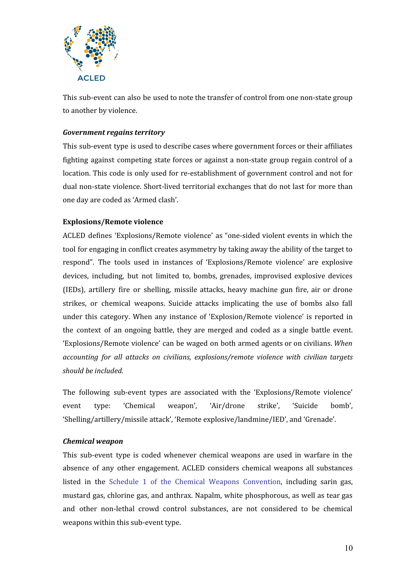

This sub-event can also be used to note the transfer of control from one non-state group to another by violence.

#### <span id="page-9-0"></span>*Government regains territory*

This sub-event type is used to describe cases where government forces or their affiliates fighting against competing state forces or against a non-state group regain control of a location. This code is only used for re-establishment of government control and not for dual non-state violence. Short-lived territorial exchanges that do not last for more than one day are coded as 'Armed clash'.

#### <span id="page-9-1"></span>**Explosions/Remote violence**

ACLED defines 'Explosions/Remote violence' as "one-sided violent events in which the tool for engaging in conflict creates asymmetry by taking away the ability of the target to respond". The tools used in instances of 'Explosions/Remote violence' are explosive devices, including, but not limited to, bombs, grenades, improvised explosive devices (IEDs), artillery fire or shelling, missile attacks, heavy machine gun fire, air or drone strikes, or chemical weapons. Suicide attacks implicating the use of bombs also fall under this category. When any instance of 'Explosion/Remote violence' is reported in the context of an ongoing battle, they are merged and coded as a single battle event. 'Explosions/Remote violence' can be waged on both armed agents or on civilians. *When accounting for all attacks on civilians, explosions/remote violence with civilian targets should be included.*

The following sub-event types are associated with the 'Explosions/Remote violence' event type: 'Chemical weapon', 'Air/drone strike', 'Suicide bomb', 'Shelling/artillery/missile attack', 'Remote explosive/landmine/IED', and 'Grenade'.

#### <span id="page-9-2"></span>*Chemical weapon*

This sub-event type is coded whenever chemical weapons are used in warfare in the absence of any other engagement. ACLED considers chemical weapons all substances listed in the Schedule 1 of the Chemical Weapons [Convention](https://web.archive.org/web/20130513015829/http:/www.opcw.org/chemical-weapons-convention/annex-on-chemicals/b-schedules-of-chemicals/schedule-1/), including sarin gas, mustard gas, chlorine gas, and anthrax. Napalm, white phosphorous, as well as tear gas and other non-lethal crowd control substances, are not considered to be chemical weapons within this sub-event type.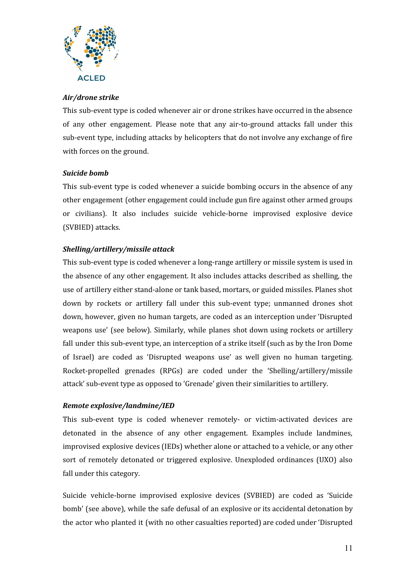

#### <span id="page-10-0"></span>*Air/drone strike*

This sub-event type is coded whenever air or drone strikes have occurred in the absence of any other engagement. Please note that any air-to-ground attacks fall under this sub-event type, including attacks by helicopters that do not involve any exchange of fire with forces on the ground.

#### <span id="page-10-1"></span>*Suicide bomb*

This sub-event type is coded whenever a suicide bombing occurs in the absence of any other engagement (other engagement could include gun fire against other armed groups or civilians). It also includes suicide vehicle-borne improvised explosive device (SVBIED) attacks.

#### *Shelling/artillery/missile attack*

This sub-event type is coded whenever a long-range artillery or missile system is used in the absence of any other engagement. It also includes attacks described as shelling, the use of artillery either stand-alone or tank based, mortars, or guided missiles. Planes shot down by rockets or artillery fall under this sub-event type; unmanned drones shot down, however, given no human targets, are coded as an interception under 'Disrupted weapons use' (see below). Similarly, while planes shot down using rockets or artillery fall under this sub-event type, an interception of a strike itself (such as by the Iron Dome of Israel) are coded as 'Disrupted weapons use' as well given no human targeting. Rocket-propelled grenades (RPGs) are coded under the 'Shelling/artillery/missile attack' sub-event type as opposed to 'Grenade' given their similarities to artillery.

#### <span id="page-10-2"></span>*Remote explosive/landmine/IED*

This sub-event type is coded whenever remotely- or victim-activated devices are detonated in the absence of any other engagement. Examples include landmines, improvised explosive devices (IEDs) whether alone or attached to a vehicle, or any other sort of remotely detonated or triggered explosive. Unexploded ordinances (UXO) also fall under this category.

Suicide vehicle-borne improvised explosive devices (SVBIED) are coded as 'Suicide bomb' (see above), while the safe defusal of an explosive or its accidental detonation by the actor who planted it (with no other casualties reported) are coded under 'Disrupted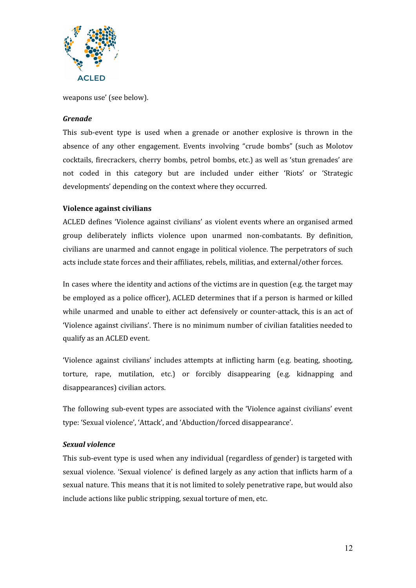

weapons use' (see below).

#### <span id="page-11-0"></span>*Grenade*

This sub-event type is used when a grenade or another explosive is thrown in the absence of any other engagement. Events involving "crude bombs" (such as Molotov cocktails, firecrackers, cherry bombs, petrol bombs, etc.) as well as 'stun grenades' are not coded in this category but are included under either 'Riots' or 'Strategic developments' depending on the context where they occurred.

#### <span id="page-11-1"></span>**Violence against civilians**

ACLED defines 'Violence against civilians' as violent events where an organised armed group deliberately inflicts violence upon unarmed non-combatants. By definition, civilians are unarmed and cannot engage in political violence. The perpetrators of such acts include state forces and their affiliates, rebels, militias, and external/other forces.

In cases where the identity and actions of the victims are in question (e.g. the target may be employed as a police officer), ACLED determines that if a person is harmed or killed while unarmed and unable to either act defensively or counter-attack, this is an act of 'Violence against civilians'. There is no minimum number of civilian fatalities needed to qualify as an ACLED event.

'Violence against civilians' includes attempts at inflicting harm (e.g. beating, shooting, torture, rape, mutilation, etc.) or forcibly disappearing (e.g. kidnapping and disappearances) civilian actors.

The following sub-event types are associated with the 'Violence against civilians' event type: 'Sexual violence', 'Attack', and 'Abduction/forced disappearance'.

#### <span id="page-11-2"></span>*Sexual violence*

This sub-event type is used when any individual (regardless of gender) is targeted with sexual violence. 'Sexual violence' is defined largely as any action that inflicts harm of a sexual nature. This means that it is not limited to solely penetrative rape, but would also include actions like public stripping, sexual torture of men, etc.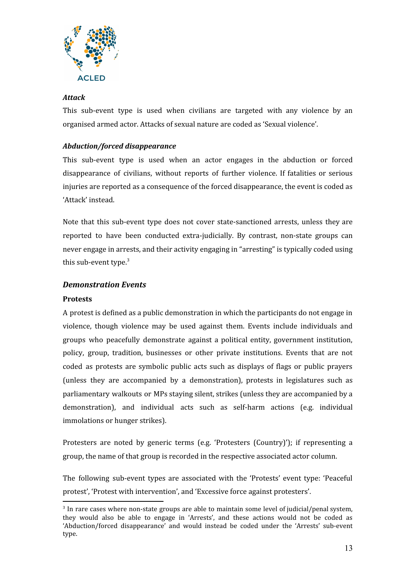

#### <span id="page-12-0"></span>*Attack*

This sub-event type is used when civilians are targeted with any violence by an organised armed actor. Attacks of sexual nature are coded as 'Sexual violence'.

#### <span id="page-12-1"></span>*Abduction/forced disappearance*

This sub-event type is used when an actor engages in the abduction or forced disappearance of civilians, without reports of further violence. If fatalities or serious injuries are reported as a consequence of the forced disappearance, the event is coded as 'Attack' instead.

Note that this sub-event type does not cover state-sanctioned arrests, unless they are reported to have been conducted extra-judicially. By contrast, non-state groups can never engage in arrests, and their activity engaging in "arresting" is typically coded using this sub-event type.<sup>3</sup>

#### <span id="page-12-2"></span>*Demonstration Events*

#### <span id="page-12-3"></span>**Protests**

A protest is defined as a public demonstration in which the participants do not engage in violence, though violence may be used against them. Events include individuals and groups who peacefully demonstrate against a political entity, government institution, policy, group, tradition, businesses or other private institutions. Events that are not coded as protests are symbolic public acts such as displays of flags or public prayers (unless they are accompanied by a demonstration), protests in legislatures such as parliamentary walkouts or MPs staying silent, strikes (unless they are accompanied by a demonstration), and individual acts such as self-harm actions (e.g. individual immolations or hunger strikes).

Protesters are noted by generic terms (e.g. 'Protesters (Country)'); if representing a group, the name of that group is recorded in the respective associated actor column.

The following sub-event types are associated with the 'Protests' event type: 'Peaceful protest', 'Protest with intervention', and 'Excessive force against protesters'.

<sup>&</sup>lt;sup>3</sup> In rare cases where non-state groups are able to maintain some level of judicial/penal system, they would also be able to engage in 'Arrests', and these actions would not be coded as 'Abduction/forced disappearance' and would instead be coded under the 'Arrests' sub-event type.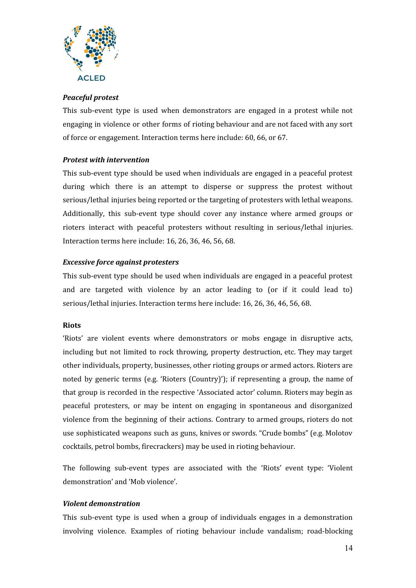

#### <span id="page-13-0"></span>*Peaceful protest*

This sub-event type is used when demonstrators are engaged in a protest while not engaging in violence or other forms of rioting behaviour and are not faced with any sort of force or engagement. Interaction terms here include: 60, 66, or 67.

#### <span id="page-13-1"></span>*Protest with intervention*

This sub-event type should be used when individuals are engaged in a peaceful protest during which there is an attempt to disperse or suppress the protest without serious/lethal injuries being reported or the targeting of protesters with lethal weapons. Additionally, this sub-event type should cover any instance where armed groups or rioters interact with peaceful protesters without resulting in serious/lethal injuries. Interaction terms here include: 16, 26, 36, 46, 56, 68.

#### <span id="page-13-2"></span>*Excessive force against protesters*

This sub-event type should be used when individuals are engaged in a peaceful protest and are targeted with violence by an actor leading to (or if it could lead to) serious/lethal injuries. Interaction terms here include: 16, 26, 36, 46, 56, 68.

#### <span id="page-13-3"></span>**Riots**

'Riots' are violent events where demonstrators or mobs engage in disruptive acts, including but not limited to rock throwing, property destruction, etc. They may target other individuals, property, businesses, other rioting groups or armed actors. Rioters are noted by generic terms (e.g. 'Rioters (Country)'); if representing a group, the name of that group is recorded in the respective 'Associated actor' column. Rioters may begin as peaceful protesters, or may be intent on engaging in spontaneous and disorganized violence from the beginning of their actions. Contrary to armed groups, rioters do not use sophisticated weapons such as guns, knives or swords. "Crude bombs" (e.g. Molotov cocktails, petrol bombs, firecrackers) may be used in rioting behaviour.

The following sub-event types are associated with the 'Riots' event type: 'Violent demonstration' and 'Mob violence'.

#### <span id="page-13-4"></span>*Violent demonstration*

This sub-event type is used when a group of individuals engages in a demonstration involving violence. Examples of rioting behaviour include vandalism; road-blocking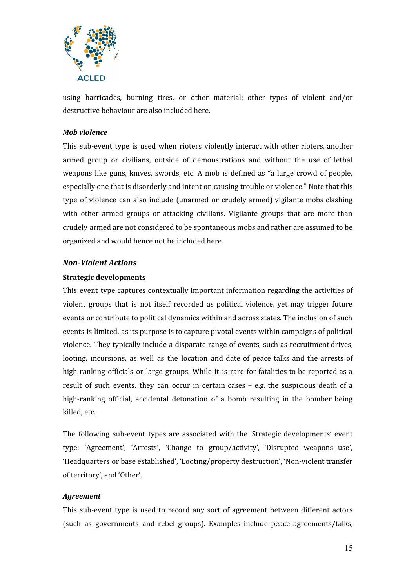

using barricades, burning tires, or other material; other types of violent and/or destructive behaviour are also included here.

#### <span id="page-14-0"></span>*Mob violence*

This sub-event type is used when rioters violently interact with other rioters, another armed group or civilians, outside of demonstrations and without the use of lethal weapons like guns, knives, swords, etc. A mob is defined as "a large crowd of people, especially one that is disorderly and intent on causing trouble or violence." Note that this type of violence can also include (unarmed or crudely armed) vigilante mobs clashing with other armed groups or attacking civilians. Vigilante groups that are more than crudely armed are not considered to be spontaneous mobs and rather are assumed to be organized and would hence not be included here.

#### <span id="page-14-1"></span>*Non-Violent Actions*

#### <span id="page-14-2"></span>**Strategic developments**

This event type captures contextually important information regarding the activities of violent groups that is not itself recorded as political violence, yet may trigger future events or contribute to political dynamics within and across states. The inclusion of such events is limited, as its purpose is to capture pivotal events within campaigns of political violence. They typically include a disparate range of events, such as recruitment drives, looting, incursions, as well as the location and date of peace talks and the arrests of high-ranking officials or large groups. While it is rare for fatalities to be reported as a result of such events, they can occur in certain cases – e.g. the suspicious death of a high-ranking official, accidental detonation of a bomb resulting in the bomber being killed, etc.

The following sub-event types are associated with the 'Strategic developments' event type: 'Agreement', 'Arrests', 'Change to group/activity', 'Disrupted weapons use', 'Headquarters or base established', 'Looting/property destruction', 'Non-violent transfer of territory', and 'Other'.

#### <span id="page-14-3"></span>*Agreement*

This sub-event type is used to record any sort of agreement between different actors (such as governments and rebel groups). Examples include peace agreements/talks,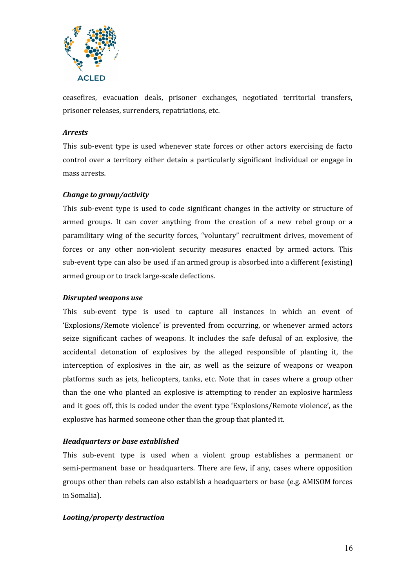

ceasefires, evacuation deals, prisoner exchanges, negotiated territorial transfers, prisoner releases, surrenders, repatriations, etc.

#### <span id="page-15-0"></span>*Arrests*

This sub-event type is used whenever state forces or other actors exercising de facto control over a territory either detain a particularly significant individual or engage in mass arrests.

#### <span id="page-15-1"></span>*Change to group/activity*

This sub-event type is used to code significant changes in the activity or structure of armed groups. It can cover anything from the creation of a new rebel group or a paramilitary wing of the security forces, "voluntary" recruitment drives, movement of forces or any other non-violent security measures enacted by armed actors. This sub-event type can also be used if an armed group is absorbed into a different (existing) armed group or to track large-scale defections.

#### <span id="page-15-2"></span>*Disrupted weapons use*

This sub-event type is used to capture all instances in which an event of 'Explosions/Remote violence' is prevented from occurring, or whenever armed actors seize significant caches of weapons. It includes the safe defusal of an explosive, the accidental detonation of explosives by the alleged responsible of planting it, the interception of explosives in the air, as well as the seizure of weapons or weapon platforms such as jets, helicopters, tanks, etc. Note that in cases where a group other than the one who planted an explosive is attempting to render an explosive harmless and it goes off, this is coded under the event type 'Explosions/Remote violence', as the explosive has harmed someone other than the group that planted it.

#### <span id="page-15-3"></span>*Headquarters or base established*

This sub-event type is used when a violent group establishes a permanent or semi-permanent base or headquarters. There are few, if any, cases where opposition groups other than rebels can also establish a headquarters or base (e.g. AMISOM forces in Somalia).

#### *Looting/property destruction*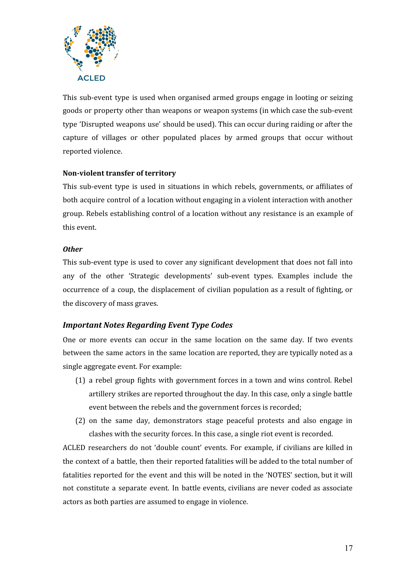

This sub-event type is used when organised armed groups engage in looting or seizing goods or property other than weapons or weapon systems (in which case the sub-event type 'Disrupted weapons use' should be used). This can occur during raiding or after the capture of villages or other populated places by armed groups that occur without reported violence.

#### <span id="page-16-0"></span>**Non-violent transfer of territory**

This sub-event type is used in situations in which rebels, governments, or affiliates of both acquire control of a location without engaging in a violent interaction with another group. Rebels establishing control of a location without any resistance is an example of this event.

#### <span id="page-16-1"></span>*Other*

This sub-event type is used to cover any significant development that does not fall into any of the other 'Strategic developments' sub-event types. Examples include the occurrence of a coup, the displacement of civilian population as a result of fighting, or the discovery of mass graves.

#### <span id="page-16-2"></span>*Important Notes Regarding Event Type Codes*

One or more events can occur in the same location on the same day. If two events between the same actors in the same location are reported, they are typically noted as a single aggregate event. For example:

- (1) a rebel group fights with government forces in a town and wins control. Rebel artillery strikes are reported throughout the day. In this case, only a single battle event between the rebels and the government forces is recorded;
- (2) on the same day, demonstrators stage peaceful protests and also engage in clashes with the security forces. In this case, a single riot event is recorded.

ACLED researchers do not 'double count' events. For example, if civilians are killed in the context of a battle, then their reported fatalities will be added to the total number of fatalities reported for the event and this will be noted in the 'NOTES' section, but it will not constitute a separate event. In battle events, civilians are never coded as associate actors as both parties are assumed to engage in violence.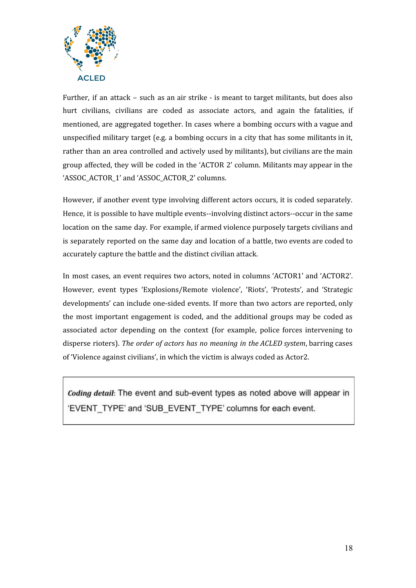

Further, if an attack – such as an air strike - is meant to target militants, but does also hurt civilians, civilians are coded as associate actors, and again the fatalities, if mentioned, are aggregated together. In cases where a bombing occurs with a vague and unspecified military target (e.g. a bombing occurs in a city that has some militants in it, rather than an area controlled and actively used by militants), but civilians are the main group affected, they will be coded in the 'ACTOR 2' column. Militants may appear in the 'ASSOC\_ACTOR\_1' and 'ASSOC\_ACTOR\_2' columns.

However, if another event type involving different actors occurs, it is coded separately. Hence, it is possible to have multiple events--involving distinct actors--occur in the same location on the same day. For example, if armed violence purposely targets civilians and is separately reported on the same day and location of a battle, two events are coded to accurately capture the battle and the distinct civilian attack.

In most cases, an event requires two actors, noted in columns 'ACTOR1' and 'ACTOR2'. However, event types 'Explosions/Remote violence', 'Riots', 'Protests', and 'Strategic developments' can include one-sided events. If more than two actors are reported, only the most important engagement is coded, and the additional groups may be coded as associated actor depending on the context (for example, police forces intervening to disperse rioters). *The order of actors has no meaning in the ACLED system*, barring cases of 'Violence against civilians', in which the victim is always coded as Actor2.

<span id="page-17-0"></span>Coding detail: The event and sub-event types as noted above will appear in 'EVENT\_TYPE' and 'SUB\_EVENT\_TYPE' columns for each event.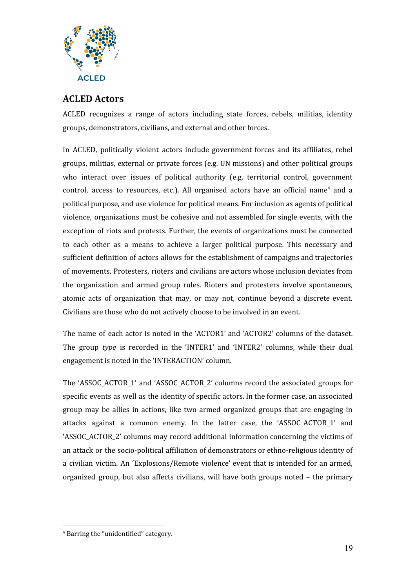

## **ACLED Actors**

ACLED recognizes a range of actors including state forces, rebels, militias, identity groups, demonstrators, civilians, and external and other forces.

In ACLED, politically violent actors include government forces and its affiliates, rebel groups, militias, external or private forces (e.g. UN missions) and other political groups who interact over issues of political authority (e.g. territorial control, government control, access to resources, etc.). All organised actors have an official name<sup>4</sup> and a political purpose, and use violence for political means. For inclusion as agents of political violence, organizations must be cohesive and not assembled for single events, with the exception of riots and protests. Further, the events of organizations must be connected to each other as a means to achieve a larger political purpose. This necessary and sufficient definition of actors allows for the establishment of campaigns and trajectories of movements. Protesters, rioters and civilians are actors whose inclusion deviates from the organization and armed group rules. Rioters and protesters involve spontaneous, atomic acts of organization that may, or may not, continue beyond a discrete event. Civilians are those who do not actively choose to be involved in an event.

The name of each actor is noted in the 'ACTOR1' and 'ACTOR2' columns of the dataset. The group *type* is recorded in the 'INTER1' and 'INTER2' columns, while their dual engagement is noted in the 'INTERACTION' column.

The 'ASSOC\_ACTOR\_1' and 'ASSOC\_ACTOR\_2' columns record the associated groups for specific events as well as the identity of specific actors. In the former case, an associated group may be allies in actions, like two armed organized groups that are engaging in attacks against a common enemy. In the latter case, the 'ASSOC\_ACTOR\_1' and 'ASSOC\_ACTOR\_2' columns may record additional information concerning the victims of an attack or the socio-political affiliation of demonstrators or ethno-religious identity of a civilian victim. An 'Explosions/Remote violence' event that is intended for an armed, organized group, but also affects civilians, will have both groups noted – the primary

<sup>4</sup> Barring the "unidentified" category.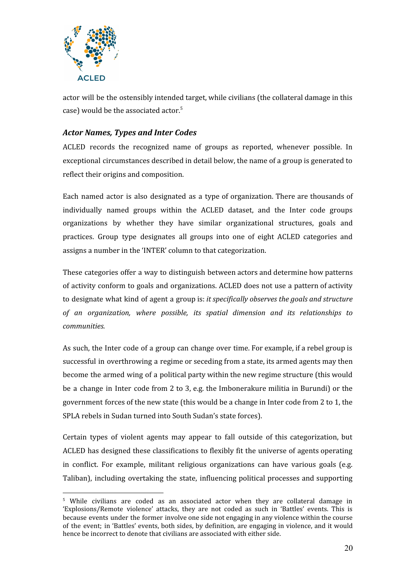

actor will be the ostensibly intended target, while civilians (the collateral damage in this case) would be the associated actor. 5

#### <span id="page-19-0"></span>*Actor Names, Types and Inter Codes*

ACLED records the recognized name of groups as reported, whenever possible. In exceptional circumstances described in detail below, the name of a group is generated to reflect their origins and composition.

Each named actor is also designated as a type of organization. There are thousands of individually named groups within the ACLED dataset, and the Inter code groups organizations by whether they have similar organizational structures, goals and practices. Group type designates all groups into one of eight ACLED categories and assigns a number in the 'INTER' column to that categorization.

These categories offer a way to distinguish between actors and determine how patterns of activity conform to goals and organizations. ACLED does not use a pattern of activity to designate what kind of agent a group is: *it specifically observes the goals and structure of an organization, where possible, its spatial dimension and its relationships to communities.*

As such, the Inter code of a group can change over time. For example, if a rebel group is successful in overthrowing a regime or seceding from a state, its armed agents may then become the armed wing of a political party within the new regime structure (this would be a change in Inter code from 2 to 3, e.g. the Imbonerakure militia in Burundi) or the government forces of the new state (this would be a change in Inter code from 2 to 1, the SPLA rebels in Sudan turned into South Sudan's state forces).

Certain types of violent agents may appear to fall outside of this categorization, but ACLED has designed these classifications to flexibly fit the universe of agents operating in conflict. For example, militant religious organizations can have various goals (e.g. Taliban), including overtaking the state, influencing political processes and supporting

<sup>5</sup> While civilians are coded as an associated actor when they are collateral damage in 'Explosions/Remote violence' attacks, they are not coded as such in 'Battles' events. This is because events under the former involve one side not engaging in any violence within the course of the event; in 'Battles' events, both sides, by definition, are engaging in violence, and it would hence be incorrect to denote that civilians are associated with either side.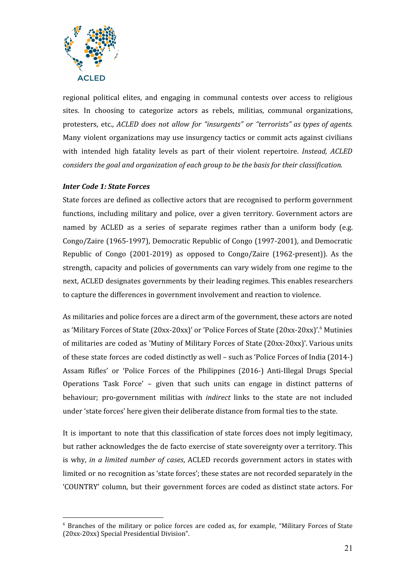

regional political elites, and engaging in communal contests over access to religious sites. In choosing to categorize actors as rebels, militias, communal organizations, protesters, etc., *ACLED does not allow for "insurgents" or "terrorists" as types of agents.* Many violent organizations may use insurgency tactics or commit acts against civilians with intended high fatality levels as part of their violent repertoire. *Instead, ACLED considers the goal and organization of each group to be the basis for their classification.*

#### <span id="page-20-0"></span>*Inter Code 1: State Forces*

State forces are defined as collective actors that are recognised to perform government functions, including military and police, over a given territory. Government actors are named by ACLED as a series of separate regimes rather than a uniform body (e.g. Congo/Zaire (1965-1997), Democratic Republic of Congo (1997-2001), and Democratic Republic of Congo (2001-2019) as opposed to Congo/Zaire (1962-present)). As the strength, capacity and policies of governments can vary widely from one regime to the next, ACLED designates governments by their leading regimes. This enables researchers to capture the differences in government involvement and reaction to violence.

As militaries and police forces are a direct arm of the government, these actors are noted as 'Military Forces of State (20xx-20xx)' or 'Police Forces of State (20xx-20xx)'. <sup>6</sup> Mutinies of militaries are coded as 'Mutiny of Military Forces of State (20xx-20xx)'. Various units of these state forces are coded distinctly as well – such as 'Police Forces of India (2014-) Assam Rifles' or 'Police Forces of the Philippines (2016-) Anti-Illegal Drugs Special Operations Task Force' – given that such units can engage in distinct patterns of behaviour; pro-government militias with *indirect* links to the state are not included under 'state forces' here given their deliberate distance from formal ties to the state.

It is important to note that this classification of state forces does not imply legitimacy, but rather acknowledges the de facto exercise of state sovereignty over a territory. This is why, *in a limited number of cases*, ACLED records government actors in states with limited or no recognition as 'state forces'; these states are not recorded separately in the 'COUNTRY' column, but their government forces are coded as distinct state actors. For

<sup>6</sup> Branches of the military or police forces are coded as, for example, "Military Forces of State (20xx-20xx) Special Presidential Division".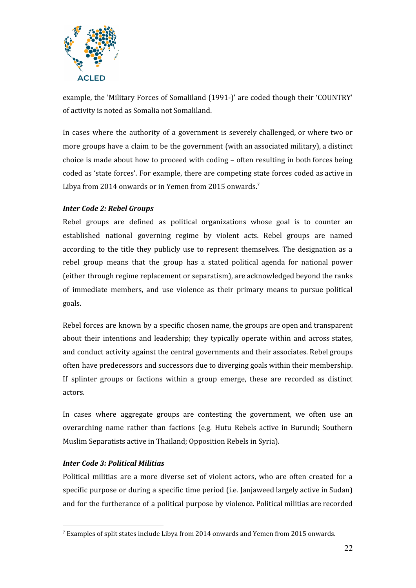

example, the 'Military Forces of Somaliland (1991-)' are coded though their 'COUNTRY' of activity is noted as Somalia not Somaliland.

In cases where the authority of a government is severely challenged, or where two or more groups have a claim to be the government (with an associated military), a distinct choice is made about how to proceed with coding – often resulting in both forces being coded as 'state forces'. For example, there are competing state forces coded as active in Libya from 2014 onwards or in Yemen from 2015 onwards.<sup>7</sup>

#### <span id="page-21-0"></span>*Inter Code 2: Rebel Groups*

Rebel groups are defined as political organizations whose goal is to counter an established national governing regime by violent acts. Rebel groups are named according to the title they publicly use to represent themselves. The designation as a rebel group means that the group has a stated political agenda for national power (either through regime replacement or separatism), are acknowledged beyond the ranks of immediate members, and use violence as their primary means to pursue political goals.

Rebel forces are known by a specific chosen name, the groups are open and transparent about their intentions and leadership; they typically operate within and across states, and conduct activity against the central governments and their associates. Rebel groups often have predecessors and successors due to diverging goals within their membership. If splinter groups or factions within a group emerge, these are recorded as distinct actors.

In cases where aggregate groups are contesting the government, we often use an overarching name rather than factions (e.g. Hutu Rebels active in Burundi; Southern Muslim Separatists active in Thailand; Opposition Rebels in Syria).

#### <span id="page-21-1"></span>*Inter Code 3: Political Militias*

Political militias are a more diverse set of violent actors, who are often created for a specific purpose or during a specific time period (i.e. Janjaweed largely active in Sudan) and for the furtherance of a political purpose by violence. Political militias are recorded

<sup>7</sup> Examples of split states include Libya from 2014 onwards and Yemen from 2015 onwards.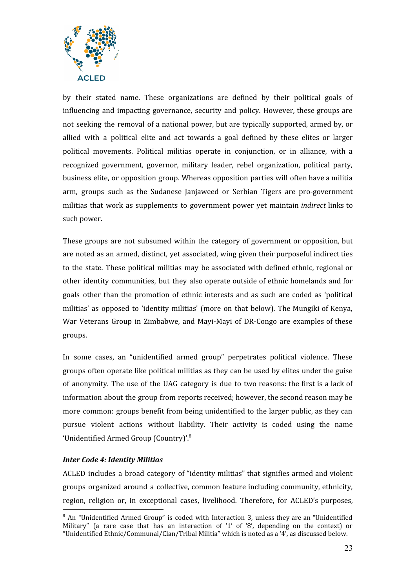

by their stated name. These organizations are defined by their political goals of influencing and impacting governance, security and policy. However, these groups are not seeking the removal of a national power, but are typically supported, armed by, or allied with a political elite and act towards a goal defined by these elites or larger political movements. Political militias operate in conjunction, or in alliance, with a recognized government, governor, military leader, rebel organization, political party, business elite, or opposition group. Whereas opposition parties will often have a militia arm, groups such as the Sudanese Janjaweed or Serbian Tigers are pro-government militias that work as supplements to government power yet maintain *indirect* links to such power.

These groups are not subsumed within the category of government or opposition, but are noted as an armed, distinct, yet associated, wing given their purposeful indirect ties to the state. These political militias may be associated with defined ethnic, regional or other identity communities, but they also operate outside of ethnic homelands and for goals other than the promotion of ethnic interests and as such are coded as 'political militias' as opposed to 'identity militias' (more on that below). The Mungiki of Kenya, War Veterans Group in Zimbabwe, and Mayi-Mayi of DR-Congo are examples of these groups.

In some cases, an "unidentified armed group" perpetrates political violence. These groups often operate like political militias as they can be used by elites under the guise of anonymity. The use of the UAG category is due to two reasons: the first is a lack of information about the group from reports received; however, the second reason may be more common: groups benefit from being unidentified to the larger public, as they can pursue violent actions without liability. Their activity is coded using the name 'Unidentified Armed Group (Country)'.<sup>8</sup>

#### <span id="page-22-0"></span>*Inter Code 4: Identity Militias*

ACLED includes a broad category of "identity militias" that signifies armed and violent groups organized around a collective, common feature including community, ethnicity, region, religion or, in exceptional cases, livelihood. Therefore, for ACLED's purposes,

<sup>&</sup>lt;sup>8</sup> An "Unidentified Armed Group" is coded with Interaction 3, unless they are an "Unidentified Military" (a rare case that has an interaction of '1' of '8', depending on the context) or "Unidentified Ethnic/Communal/Clan/Tribal Militia" which is noted as a '4', as discussed below.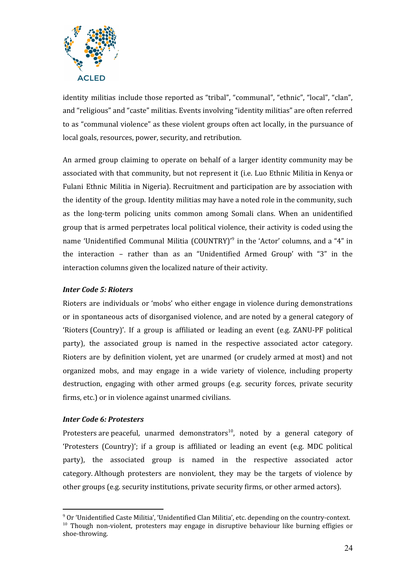

identity militias include those reported as "tribal", "communal", "ethnic", "local", "clan", and "religious" and "caste" militias. Events involving "identity militias" are often referred to as "communal violence" as these violent groups often act locally, in the pursuance of local goals, resources, power, security, and retribution.

An armed group claiming to operate on behalf of a larger identity community may be associated with that community, but not represent it (i.e. Luo Ethnic Militia in Kenya or Fulani Ethnic Militia in Nigeria). Recruitment and participation are by association with the identity of the group. Identity militias may have a noted role in the community, such as the long-term policing units common among Somali clans. When an unidentified group that is armed perpetrates local political violence, their activity is coded using the name 'Unidentified Communal Militia (COUNTRY)<sup>, o</sup> in the 'Actor' columns, and a "4" in the interaction – rather than as an "Unidentified Armed Group' with "3" in the interaction columns given the localized nature of their activity.

#### <span id="page-23-0"></span>*Inter Code 5: Rioters*

Rioters are individuals or 'mobs' who either engage in violence during demonstrations or in spontaneous acts of disorganised violence, and are noted by a general category of 'Rioters (Country)'. If a group is affiliated or leading an event (e.g. ZANU-PF political party), the associated group is named in the respective associated actor category. Rioters are by definition violent, yet are unarmed (or crudely armed at most) and not organized mobs, and may engage in a wide variety of violence, including property destruction, engaging with other armed groups (e.g. security forces, private security firms, etc.) or in violence against unarmed civilians.

#### <span id="page-23-1"></span>*Inter Code 6: Protesters*

Protesters are peaceful, unarmed demonstrators<sup>10</sup>, noted by a general category of 'Protesters (Country)'; if a group is affiliated or leading an event (e.g. MDC political party), the associated group is named in the respective associated actor category. Although protesters are nonviolent, they may be the targets of violence by other groups (e.g. security institutions, private security firms, or other armed actors).

<sup>9</sup> Or 'Unidentified Caste Militia', 'Unidentified Clan Militia', etc. depending on the country-context.  $10$  Though non-violent, protesters may engage in disruptive behaviour like burning effigies or shoe-throwing.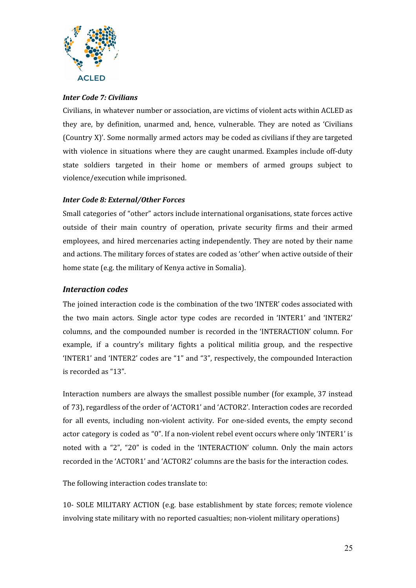

#### <span id="page-24-0"></span>*Inter Code 7: Civilians*

Civilians, in whatever number or association, are victims of violent acts within ACLED as they are, by definition, unarmed and, hence, vulnerable. They are noted as 'Civilians (Country X)'. Some normally armed actors may be coded as civilians if they are targeted with violence in situations where they are caught unarmed. Examples include off-duty state soldiers targeted in their home or members of armed groups subject to violence/execution while imprisoned.

#### <span id="page-24-1"></span>*Inter Code 8: External/Other Forces*

Small categories of "other" actors include international organisations, state forces active outside of their main country of operation, private security firms and their armed employees, and hired mercenaries acting independently. They are noted by their name and actions. The military forces of states are coded as 'other' when active outside of their home state (e.g. the military of Kenya active in Somalia).

#### <span id="page-24-2"></span>*Interaction codes*

The joined interaction code is the combination of the two 'INTER' codes associated with the two main actors. Single actor type codes are recorded in 'INTER1' and 'INTER2' columns, and the compounded number is recorded in the 'INTERACTION' column. For example, if a country's military fights a political militia group, and the respective 'INTER1' and 'INTER2' codes are "1" and "3", respectively, the compounded Interaction is recorded as "13".

Interaction numbers are always the smallest possible number (for example, 37 instead of 73), regardless of the order of 'ACTOR1' and 'ACTOR2'. Interaction codes are recorded for all events, including non-violent activity. For one-sided events, the empty second actor category is coded as "0". If a non-violent rebel event occurs where only 'INTER1' is noted with a "2", "20" is coded in the 'INTERACTION' column. Only the main actors recorded in the 'ACTOR1' and 'ACTOR2' columns are the basis for the interaction codes.

The following interaction codes translate to:

10- SOLE MILITARY ACTION (e.g. base establishment by state forces; remote violence involving state military with no reported casualties; non-violent military operations)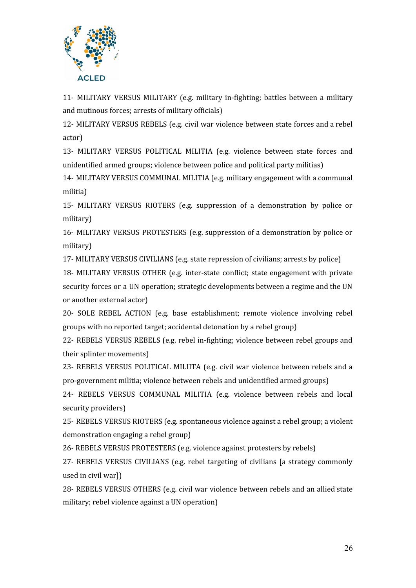

11- MILITARY VERSUS MILITARY (e.g. military in-fighting; battles between a military and mutinous forces; arrests of military officials)

12- MILITARY VERSUS REBELS (e.g. civil war violence between state forces and a rebel actor)

13- MILITARY VERSUS POLITICAL MILITIA (e.g. violence between state forces and unidentified armed groups; violence between police and political party militias)

14- MILITARY VERSUS COMMUNAL MILITIA (e.g. military engagement with a communal militia)

15- MILITARY VERSUS RIOTERS (e.g. suppression of a demonstration by police or military)

16- MILITARY VERSUS PROTESTERS (e.g. suppression of a demonstration by police or military)

17- MILITARY VERSUS CIVILIANS (e.g. state repression of civilians; arrests by police)

18- MILITARY VERSUS OTHER (e.g. inter-state conflict; state engagement with private security forces or a UN operation; strategic developments between a regime and the UN or another external actor)

20- SOLE REBEL ACTION (e.g. base establishment; remote violence involving rebel groups with no reported target; accidental detonation by a rebel group)

22- REBELS VERSUS REBELS (e.g. rebel in-fighting; violence between rebel groups and their splinter movements)

23- REBELS VERSUS POLITICAL MILIITA (e.g. civil war violence between rebels and a pro-government militia; violence between rebels and unidentified armed groups)

24- REBELS VERSUS COMMUNAL MILITIA (e.g. violence between rebels and local security providers)

25- REBELS VERSUS RIOTERS (e.g. spontaneous violence against a rebel group; a violent demonstration engaging a rebel group)

26- REBELS VERSUS PROTESTERS (e.g. violence against protesters by rebels)

27- REBELS VERSUS CIVILIANS (e.g. rebel targeting of civilians [a strategy commonly used in civil war])

28- REBELS VERSUS OTHERS (e.g. civil war violence between rebels and an allied state military; rebel violence against a UN operation)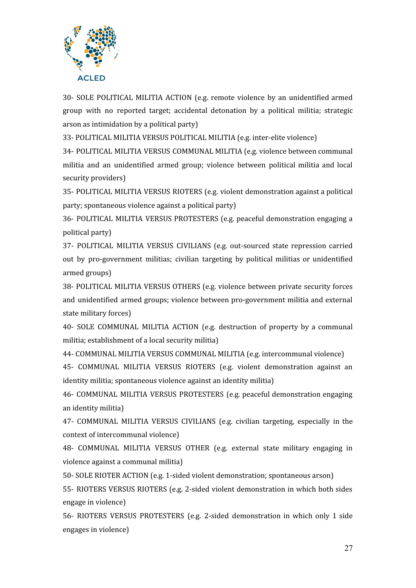

30- SOLE POLITICAL MILITIA ACTION (e.g. remote violence by an unidentified armed group with no reported target; accidental detonation by a political militia; strategic arson as intimidation by a political party)

33- POLITICAL MILITIA VERSUS POLITICAL MILITIA (e.g. inter-elite violence)

34- POLITICAL MILITIA VERSUS COMMUNAL MILITIA (e.g. violence between communal militia and an unidentified armed group; violence between political militia and local security providers)

35- POLITICAL MILITIA VERSUS RIOTERS (e.g. violent demonstration against a political party; spontaneous violence against a political party)

36- POLITICAL MILITIA VERSUS PROTESTERS (e.g. peaceful demonstration engaging a political party)

37- POLITICAL MILITIA VERSUS CIVILIANS (e.g. out-sourced state repression carried out by pro-government militias; civilian targeting by political militias or unidentified armed groups)

38- POLITICAL MILITIA VERSUS OTHERS (e.g. violence between private security forces and unidentified armed groups; violence between pro-government militia and external state military forces)

40- SOLE COMMUNAL MILITIA ACTION (e.g. destruction of property by a communal militia; establishment of a local security militia)

44- COMMUNAL MILITIA VERSUS COMMUNAL MILITIA (e.g. intercommunal violence)

45- COMMUNAL MILITIA VERSUS RIOTERS (e.g. violent demonstration against an identity militia; spontaneous violence against an identity militia)

46- COMMUNAL MILITIA VERSUS PROTESTERS (e.g. peaceful demonstration engaging an identity militia)

47- COMMUNAL MILITIA VERSUS CIVILIANS (e.g. civilian targeting, especially in the context of intercommunal violence)

48- COMMUNAL MILITIA VERSUS OTHER (e.g. external state military engaging in violence against a communal militia)

50- SOLE RIOTER ACTION (e.g. 1-sided violent demonstration; spontaneous arson)

55- RIOTERS VERSUS RIOTERS (e.g. 2-sided violent demonstration in which both sides engage in violence)

56- RIOTERS VERSUS PROTESTERS (e.g. 2-sided demonstration in which only 1 side engages in violence)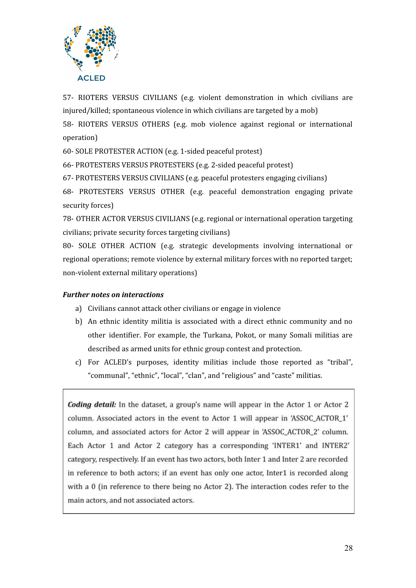

57- RIOTERS VERSUS CIVILIANS (e.g. violent demonstration in which civilians are injured/killed; spontaneous violence in which civilians are targeted by a mob)

58- RIOTERS VERSUS OTHERS (e.g. mob violence against regional or international operation)

60- SOLE PROTESTER ACTION (e.g. 1-sided peaceful protest)

66- PROTESTERS VERSUS PROTESTERS (e.g. 2-sided peaceful protest)

67- PROTESTERS VERSUS CIVILIANS (e.g. peaceful protesters engaging civilians)

68- PROTESTERS VERSUS OTHER (e.g. peaceful demonstration engaging private security forces)

78- OTHER ACTOR VERSUS CIVILIANS (e.g. regional or international operation targeting civilians; private security forces targeting civilians)

80- SOLE OTHER ACTION (e.g. strategic developments involving international or regional operations; remote violence by external military forces with no reported target; non-violent external military operations)

#### *Further notes on interactions*

- a) Civilians cannot attack other civilians or engage in violence
- b) An ethnic identity militia is associated with a direct ethnic community and no other identifier. For example, the Turkana, Pokot, or many Somali militias are described as armed units for ethnic group contest and protection.
- c) For ACLED's purposes, identity militias include those reported as "tribal", "communal", "ethnic", "local", "clan", and "religious" and "caste" militias.

<span id="page-27-0"></span>**Coding detail:** In the dataset, a group's name will appear in the Actor 1 or Actor 2 column. Associated actors in the event to Actor 1 will appear in 'ASSOC\_ACTOR\_1' column, and associated actors for Actor 2 will appear in 'ASSOC ACTOR 2' column. Each Actor 1 and Actor 2 category has a corresponding 'INTER1' and INTER2' category, respectively. If an event has two actors, both Inter 1 and Inter 2 are recorded in reference to both actors; if an event has only one actor, Inter1 is recorded along with a 0 (in reference to there being no Actor 2). The interaction codes refer to the main actors, and not associated actors.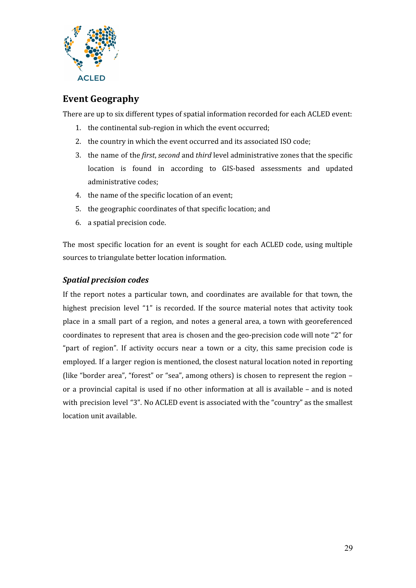

# **Event Geography**

There are up to six different types of spatial information recorded for each ACLED event:

- 1. the continental sub-region in which the event occurred;
- 2. the country in which the event occurred and its associated ISO code;
- 3. the name of the *first*, *second* and *third* level administrative zones that the specific location is found in according to GIS-based assessments and updated administrative codes;
- 4. the name of the specific location of an event;
- 5. the geographic coordinates of that specific location; and
- 6. a spatial precision code.

The most specific location for an event is sought for each ACLED code, using multiple sources to triangulate better location information.

#### <span id="page-28-0"></span>*Spatial precision codes*

If the report notes a particular town, and coordinates are available for that town, the highest precision level "1" is recorded. If the source material notes that activity took place in a small part of a region, and notes a general area, a town with georeferenced coordinates to represent that area is chosen and the geo-precision code will note "2" for "part of region". If activity occurs near a town or a city, this same precision code is employed. If a larger region is mentioned, the closest natural location noted in reporting (like "border area", "forest" or "sea", among others) is chosen to represent the region – or a provincial capital is used if no other information at all is available – and is noted with precision level "3". No ACLED event is associated with the "country" as the smallest location unit available.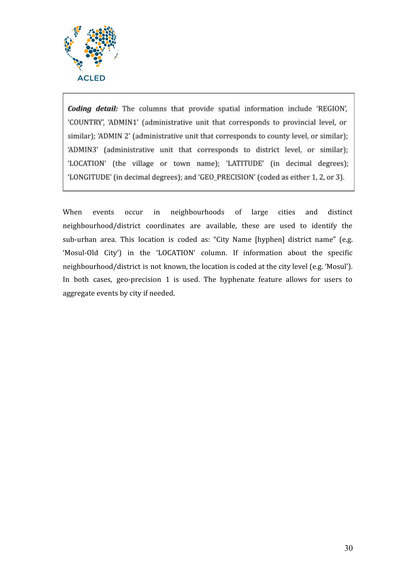

Coding detail: The columns that provide spatial information include 'REGION', 'COUNTRY', 'ADMIN1' (administrative unit that corresponds to provincial level, or similar); 'ADMIN 2' (administrative unit that corresponds to county level, or similar); 'ADMIN3' (administrative unit that corresponds to district level, or similar); 'LOCATION' (the village or town name); 'LATITUDE' (in decimal degrees); 'LONGITUDE' (in decimal degrees); and 'GEO\_PRECISION' (coded as either 1, 2, or 3).

<span id="page-29-0"></span>When events occur in neighbourhoods of large cities and distinct neighbourhood/district coordinates are available, these are used to identify the sub-urban area. This location is coded as: "City Name [hyphen] district name" (e.g. 'Mosul-Old City') in the 'LOCATION' column. If information about the specific neighbourhood/district is not known, the location is coded at the city level (e.g. 'Mosul'). In both cases, geo-precision 1 is used. The hyphenate feature allows for users to aggregate events by city if needed.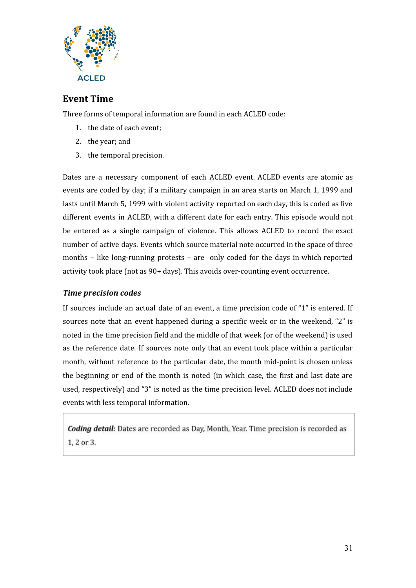

# **Event Time**

Three forms of temporal information are found in each ACLED code:

- 1. the date of each event;
- 2. the year; and
- 3. the temporal precision.

Dates are a necessary component of each ACLED event. ACLED events are atomic as events are coded by day; if a military campaign in an area starts on March 1, 1999 and lasts until March 5, 1999 with violent activity reported on each day, this is coded as five different events in ACLED, with a different date for each entry. This episode would not be entered as a single campaign of violence. This allows ACLED to record the exact number of active days. Events which source material note occurred in the space of three months – like long-running protests – are only coded for the days in which reported activity took place (not as 90+ days). This avoids over-counting event occurrence.

#### <span id="page-30-0"></span>*Time precision codes*

If sources include an actual date of an event, a time precision code of "1" is entered. If sources note that an event happened during a specific week or in the weekend, "2" is noted in the time precision field and the middle of that week (or of the weekend) is used as the reference date. If sources note only that an event took place within a particular month, without reference to the particular date, the month mid-point is chosen unless the beginning or end of the month is noted (in which case, the first and last date are used, respectively) and "3" is noted as the time precision level. ACLED does not include events with less temporal information.

<span id="page-30-1"></span>**Coding detail:** Dates are recorded as Day, Month, Year. Time precision is recorded as 1, 2 or 3.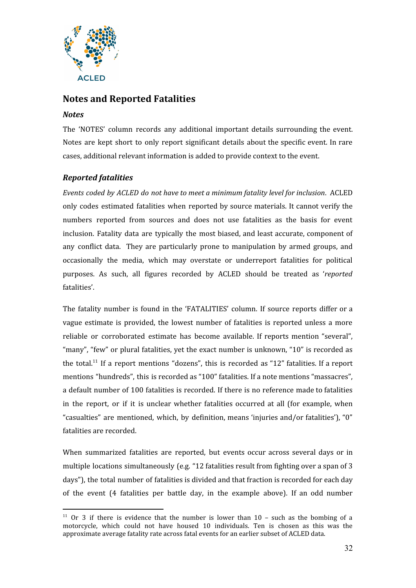

# **Notes and Reported Fatalities**

#### <span id="page-31-0"></span>*Notes*

The 'NOTES' column records any additional important details surrounding the event. Notes are kept short to only report significant details about the specific event. In rare cases, additional relevant information is added to provide context to the event.

### <span id="page-31-1"></span>*Reported fatalities*

*Events coded by ACLED do not have to meet a minimum fatality level for inclusion*. ACLED only codes estimated fatalities when reported by source materials. It cannot verify the numbers reported from sources and does not use fatalities as the basis for event inclusion. Fatality data are typically the most biased, and least accurate, component of any conflict data. They are particularly prone to manipulation by armed groups, and occasionally the media, which may overstate or underreport fatalities for political purposes. As such, all figures recorded by ACLED should be treated as '*reported* fatalities'.

The fatality number is found in the 'FATALITIES' column. If source reports differ or a vague estimate is provided, the lowest number of fatalities is reported unless a more reliable or corroborated estimate has become available. If reports mention "several", "many", "few" or plural fatalities, yet the exact number is unknown, "10" is recorded as the total.<sup>11</sup> If a report mentions "dozens", this is recorded as "12" fatalities. If a report mentions "hundreds", this is recorded as "100" fatalities. If a note mentions "massacres", a default number of 100 fatalities is recorded. If there is no reference made to fatalities in the report, or if it is unclear whether fatalities occurred at all (for example, when "casualties" are mentioned, which, by definition, means 'injuries and/or fatalities'), "0" fatalities are recorded.

When summarized fatalities are reported, but events occur across several days or in multiple locations simultaneously (e.g. "12 fatalities result from fighting over a span of 3 days"), the total number of fatalities is divided and that fraction is recorded for each day of the event (4 fatalities per battle day, in the example above). If an odd number

<sup>&</sup>lt;sup>11</sup> Or 3 if there is evidence that the number is lower than  $10 -$  such as the bombing of a motorcycle, which could not have housed 10 individuals. Ten is chosen as this was the approximate average fatality rate across fatal events for an earlier subset of ACLED data.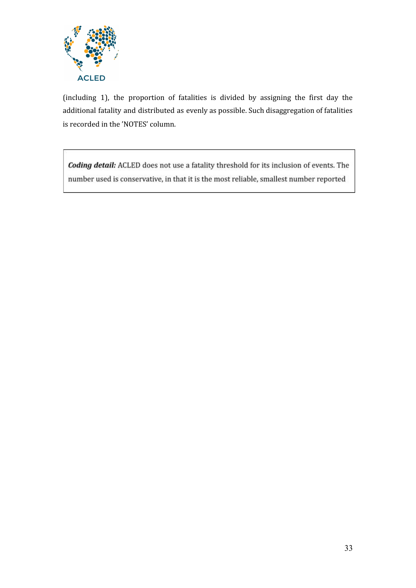

(including 1), the proportion of fatalities is divided by assigning the first day the additional fatality and distributed as evenly as possible. Such disaggregation of fatalities is recorded in the 'NOTES' column.

<span id="page-32-0"></span>Coding detail: ACLED does not use a fatality threshold for its inclusion of events. The number used is conservative, in that it is the most reliable, smallest number reported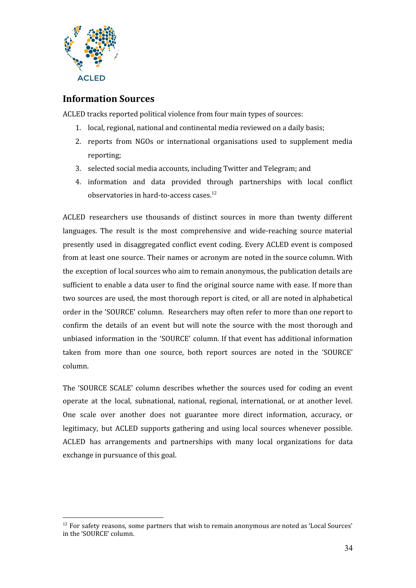

## **Information Sources**

ACLED tracks reported political violence from four main types of sources:

- 1. local, regional, national and continental media reviewed on a daily basis;
- 2. reports from NGOs or international organisations used to supplement media reporting;
- 3. selected social media accounts, including Twitter and Telegram; and
- 4. information and data provided through partnerships with local conflict observatories in hard-to-access cases. 12

ACLED researchers use thousands of distinct sources in more than twenty different languages. The result is the most comprehensive and wide-reaching source material presently used in disaggregated conflict event coding. Every ACLED event is composed from at least one source. Their names or acronym are noted in the source column. With the exception of local sources who aim to remain anonymous, the publication details are sufficient to enable a data user to find the original source name with ease. If more than two sources are used, the most thorough report is cited, or all are noted in alphabetical order in the 'SOURCE' column. Researchers may often refer to more than one report to confirm the details of an event but will note the source with the most thorough and unbiased information in the 'SOURCE' column. If that event has additional information taken from more than one source, both report sources are noted in the 'SOURCE' column.

The 'SOURCE SCALE' column describes whether the sources used for coding an event operate at the local, subnational, national, regional, international, or at another level. One scale over another does not guarantee more direct information, accuracy, or legitimacy, but ACLED supports gathering and using local sources whenever possible. ACLED has arrangements and partnerships with many local organizations for data exchange in pursuance of this goal.

<span id="page-33-0"></span><sup>&</sup>lt;sup>12</sup> For safety reasons, some partners that wish to remain anonymous are noted as 'Local Sources' in the 'SOURCE' column.